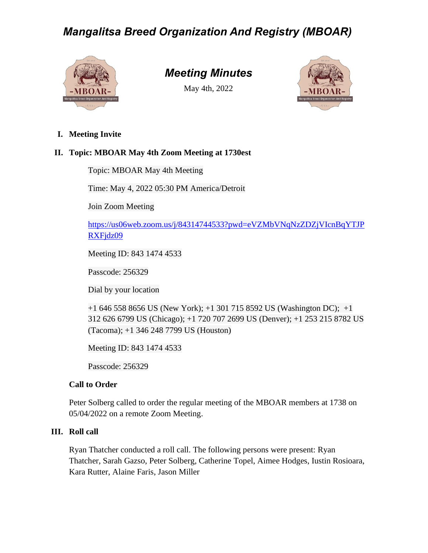

## *Meeting Minutes*

May 4th, 2022



**I. Meeting Invite**

### **II. Topic: MBOAR May 4th Zoom Meeting at 1730est**

Topic: MBOAR May 4th Meeting

Time: May 4, 2022 05:30 PM America/Detroit

Join Zoom Meeting

[https://us06web.zoom.us/j/84314744533?pwd=eVZMbVNqNzZDZjVIcnBqYTJP](https://us06web.zoom.us/j/84314744533?pwd=eVZMbVNqNzZDZjVIcnBqYTJPRXFjdz09) [RXFjdz09](https://us06web.zoom.us/j/84314744533?pwd=eVZMbVNqNzZDZjVIcnBqYTJPRXFjdz09)

Meeting ID: 843 1474 4533

Passcode: 256329

Dial by your location

+1 646 558 8656 US (New York); +1 301 715 8592 US (Washington DC); +1 312 626 6799 US (Chicago); +1 720 707 2699 US (Denver); +1 253 215 8782 US (Tacoma); +1 346 248 7799 US (Houston)

Meeting ID: 843 1474 4533

Passcode: 256329

### **Call to Order**

Peter Solberg called to order the regular meeting of the MBOAR members at 1738 on 05/04/2022 on a remote Zoom Meeting.

### **III. Roll call**

Ryan Thatcher conducted a roll call. The following persons were present: Ryan Thatcher, Sarah Gazso, Peter Solberg, Catherine Topel, Aimee Hodges, Iustin Rosioara, Kara Rutter, Alaine Faris, Jason Miller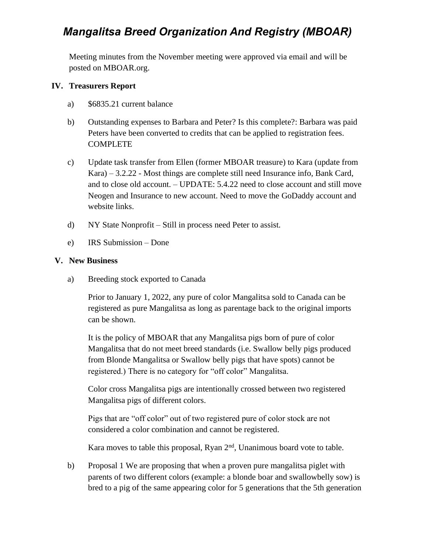Meeting minutes from the November meeting were approved via email and will be posted on MBOAR.org.

#### **IV. Treasurers Report**

- a) \$6835.21 current balance
- b) Outstanding expenses to Barbara and Peter? Is this complete?: Barbara was paid Peters have been converted to credits that can be applied to registration fees. COMPLETE
- c) Update task transfer from Ellen (former MBOAR treasure) to Kara (update from Kara) – 3.2.22 - Most things are complete still need Insurance info, Bank Card, and to close old account. – UPDATE: 5.4.22 need to close account and still move Neogen and Insurance to new account. Need to move the GoDaddy account and website links.
- d) NY State Nonprofit Still in process need Peter to assist.
- e) IRS Submission Done

#### **V. New Business**

a) Breeding stock exported to Canada

Prior to January 1, 2022, any pure of color Mangalitsa sold to Canada can be registered as pure Mangalitsa as long as parentage back to the original imports can be shown.

It is the policy of MBOAR that any Mangalitsa pigs born of pure of color Mangalitsa that do not meet breed standards (i.e. Swallow belly pigs produced from Blonde Mangalitsa or Swallow belly pigs that have spots) cannot be registered.) There is no category for "off color" Mangalitsa.

Color cross Mangalitsa pigs are intentionally crossed between two registered Mangalitsa pigs of different colors.

Pigs that are "off color" out of two registered pure of color stock are not considered a color combination and cannot be registered.

Kara moves to table this proposal, Ryan  $2<sup>nd</sup>$ , Unanimous board vote to table.

b) Proposal 1 We are proposing that when a proven pure mangalitsa piglet with parents of two different colors (example: a blonde boar and swallowbelly sow) is bred to a pig of the same appearing color for 5 generations that the 5th generation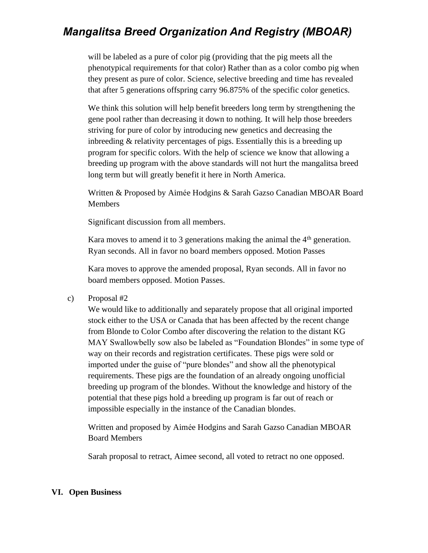will be labeled as a pure of color pig (providing that the pig meets all the phenotypical requirements for that color) Rather than as a color combo pig when they present as pure of color. Science, selective breeding and time has revealed that after 5 generations offspring carry 96.875% of the specific color genetics.

We think this solution will help benefit breeders long term by strengthening the gene pool rather than decreasing it down to nothing. It will help those breeders striving for pure of color by introducing new genetics and decreasing the inbreeding & relativity percentages of pigs. Essentially this is a breeding up program for specific colors. With the help of science we know that allowing a breeding up program with the above standards will not hurt the mangalitsa breed long term but will greatly benefit it here in North America.

Written & Proposed by Aimée Hodgins & Sarah Gazso Canadian MBOAR Board Members

Significant discussion from all members.

Kara moves to amend it to 3 generations making the animal the  $4<sup>th</sup>$  generation. Ryan seconds. All in favor no board members opposed. Motion Passes

Kara moves to approve the amended proposal, Ryan seconds. All in favor no board members opposed. Motion Passes.

c) Proposal #2

We would like to additionally and separately propose that all original imported stock either to the USA or Canada that has been affected by the recent change from Blonde to Color Combo after discovering the relation to the distant KG MAY Swallowbelly sow also be labeled as "Foundation Blondes" in some type of way on their records and registration certificates. These pigs were sold or imported under the guise of "pure blondes" and show all the phenotypical requirements. These pigs are the foundation of an already ongoing unofficial breeding up program of the blondes. Without the knowledge and history of the potential that these pigs hold a breeding up program is far out of reach or impossible especially in the instance of the Canadian blondes.

Written and proposed by Aimée Hodgins and Sarah Gazso Canadian MBOAR Board Members

Sarah proposal to retract, Aimee second, all voted to retract no one opposed.

#### **VI. Open Business**